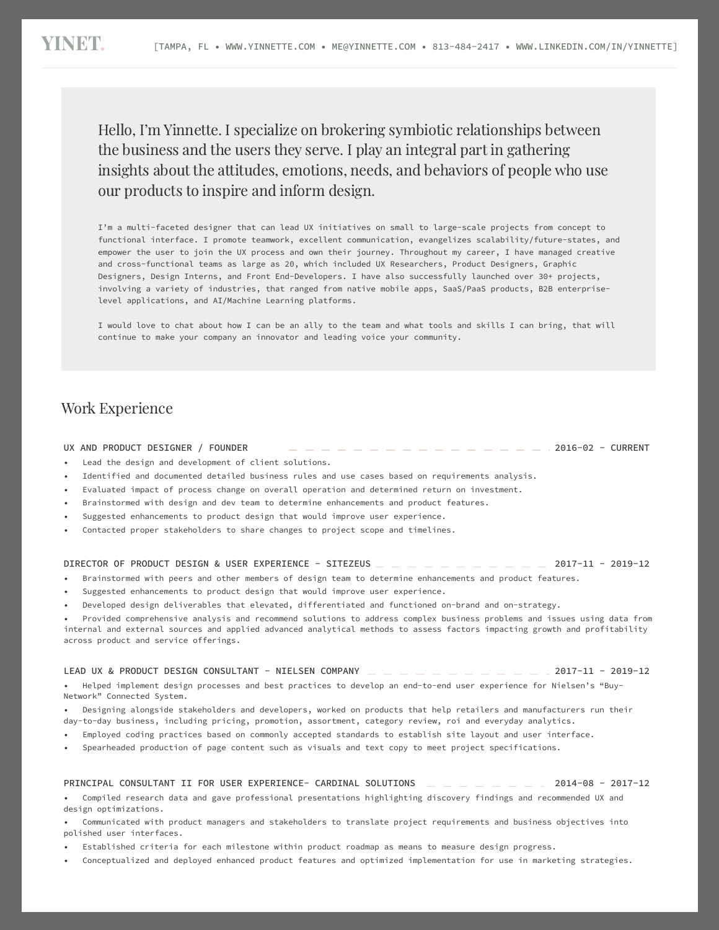I'm a multi-faceted designer that can lead UX initiatives on small to large-scale projects from concept to functional interface. I promote teamwork, excellent communication, evangelizes scalability/future-states, and empower the user to join the UX process and own their journey. Throughout my career, I have managed creative and cross-functional teams as large as 20, which included UX Researchers, Product Designers, Graphic Designers, Design Interns, and Front End-Developers. I have also successfully launched over 30+ projects, involving a variety of industries, that ranged from native mobile apps, SaaS/PaaS products, B2B enterpriselevel applications, and AI/Machine Learning platforms.

I would love to chat about how I can be an ally to the team and what tools and skills I can bring, that will continue to make your company an innovator and leading voice your community.

- Suggested enhancements to product design that would improve user experience.
- Developed design deliverables that elevated, differentiated and functioned on-brand and on-strategy.

- Employed coding practices based on commonly accepted standards to establish site layout and user interface.
- Spearheaded production of page content such as visuals and text copy to meet project specifications.

| UX AND PRODUCT DESIGNER<br><b>FOUNDER</b> |  | <b>CURRENT</b><br>$2016 - 02 - 6$ |
|-------------------------------------------|--|-----------------------------------|
|-------------------------------------------|--|-----------------------------------|

- Lead the design and development of client solutions.
- Identified and documented detailed business rules and use cases based on requirements analysis.
- Evaluated impact of process change on overall operation and determined return on investment.
- Brainstormed with design and dev team to determine enhancements and product features.
- Suggested enhancements to product design that would improve user experience.
- Contacted proper stakeholders to share changes to project scope and timelines.

- Established criteria for each milestone within product roadmap as means to measure design progress.
- Conceptualized and deployed enhanced product features and optimized implementation for use in marketing strategies.

• Provided comprehensive analysis and recommend solutions to address complex business problems and issues using data from internal and external sources and applied advanced analytical methods to assess factors impacting growth and profitability across product and service offerings.

#### DIRECTOR OF PRODUCT DESIGN & USER EXPERIENCE - SITEZEUS 2017-11 - 2019-12

Brainstormed with peers and other members of design team to determine enhancements and product features.

• Helped implement design processes and best practices to develop an end-to-end user experience for Nielsen's "Buy-Network" Connected System.

• Designing alongside stakeholders and developers, worked on products that help retailers and manufacturers run their day-to-day business, including pricing, promotion, assortment, category review, roi and everyday analytics.

LEAD UX & PRODUCT DESIGN CONSULTANT - NIELSEN COMPANY 2017-11 - 2019-12

• Compiled research data and gave professional presentations highlighting discovery findings and recommended UX and design optimizations.

• Communicated with product managers and stakeholders to translate project requirements and business objectives into polished user interfaces.

PRINCIPAL CONSULTANT II FOR USER EXPERIENCE- CARDINAL SOLUTIONS 2014-08 - 2017-12

Hello, I'm Yinnette. I specialize on brokering symbiotic relationships between the business and the users they serve. I play an integral part in gathering insights about the attitudes, emotions, needs, and behaviors of people who use our products to inspire and inform design.

## Work Experience